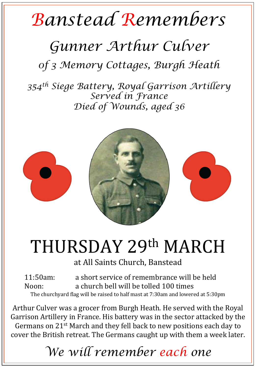## *Banstead Remembers*

## *Gunner Arthur Culver*

*0f 3 Memory Cottages, Burgh Heath* 

*354th Siege Battery, Royal Garrison Artillery Served in France Died of Wounds, aged 36* 



## THURSDAY 29th MARCH

at All Saints Church, Banstead

11:50am: a short service of remembrance will be held Noon: a church bell will be tolled 100 times The churchyard flag will be raised to half mast at 7:30am and lowered at 5:30pm

Arthur Culver was a grocer from Burgh Heath. He served with the Royal Garrison Artillery in France. His battery was in the sector attacked by the Germans on 21<sup>st</sup> March and they fell back to new positions each day to cover the British retreat. The Germans caught up with them a week later.

*We will remember each one*